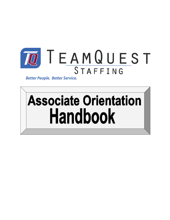

**Better People. Better Service.** 

# **Associate Orientation Handbook**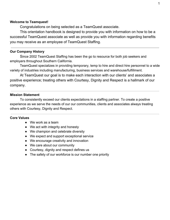## **Welcome to Teamquest!**

Congratulations on being selected as a TeamQuest associate.

This orientation handbook is designed to provide you with information on how to be a successful TeamQuest associate as well as provide you with information regarding benefits you may receive as an employee of TeamQuest Staffing.

## **Our Company History**

Since 2002 TeamQuest Staffing has been the go to resource for both job seekers and employers throughout Southern California.

TeamQuest specializes in providing temporary, temp to hire and direct hire personnel to a wide variety of industries including manufacturing, business services and warehouse/fulfillment.

At TeamQuest our goal is to make each interaction with our clients' and associates a positive experience; treating others with Courtesy, Dignity and Respect is a hallmark of our company.

## **Mission Statement**

To consistently exceed our clients expectations in a staffing partner. To create a positive experience as we serve the needs of our our communities, clients and associates always treating others with Courtesy, Dignity and Respect.

#### **Core Values**

- We work as a team
- We act with integrity and honesty
- We champion and celebrate diversity
- We expect and support exceptional service
- We encourage creativity and innovation
- We care about our community
- Courtesy, dignity and respect defines us
- The safety of our workforce is our number one priority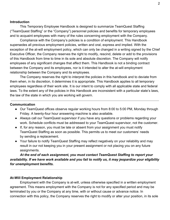#### **Introduction**

This Temporary Employee Handbook is designed to summarize TeamQuest Staffing ("TeamQuest Staffing" or the "Company") personnel policies and benefits for temporary employees and to acquaint employees with many of the rules concerning employment with the Company.

Compliance with the Company's policies is a condition of employment. This Handbook supersedes all previous employment policies, written and oral, express and implied. With the exception of the at-will employment policy, which can only be changed in a writing signed by the Chief Executive Officer, the Company reserves the right to modify, rescind, delete or add to the provisions of this Handbook from time to time in its sole and absolute discretion. The Company will notify employees of any significant changes that affect them. This Handbook is not a binding contract between the Company and its employees, nor is it intended to alter the at-will employment relationship between the Company and its employees.

The Company reserves the right to interpret the policies in this handbook and to deviate from them when, in its discretion, it determines it is appropriate. This Handbook applies to all temporary employees regardless of their work site. It is our intent to comply with all applicable state and federal laws. To the extent any of the policies in this Handbook are inconsistent with a particular state's laws, the law of the state in which you are working will govern.

#### **Communication**

- Our TeamQuest offices observe regular working hours from 8:00 to 5:00 PM, Monday through Friday. A twenty-four hour answering machine is also available.
- Always call our TeamQuest supervisor if you have any questions or problems regarding your work. Schedule conflicts must be addressed to your TeamQuest supervisor, not the customer.
- If, for any reason, you must be late or absent from your assignment you must notify TeamQuest Staffing as soon as possible. This permits us to meet our customers' needs by sending a replacement.
- Your failure to notify TeamQuest Staffing may reflect negatively on your reliability and may result in our not keeping you in your present assignment or not placing you on any future assignments.

*At the end of each assignment, you must contact TeamQuest Staffing to report your availability. If we have work available and you fail to notify us, it may jeopardize your eligibility for unemployment benefits.*

# **At-Will Employment Relationship**

Employment with the Company is at-will, unless otherwise specified in a written employment agreement. This means employment with the Company is not for any specified period and may be terminated by you or the Company at any time, with or without cause or advance notice. In connection with this policy, the Company reserves the right to modify or alter your position, in its sole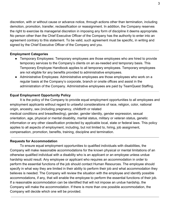discretion, with or without cause or advance notice, through actions other than termination, including demotion, promotion, transfer, reclassification or reassignment. In addition, the Company reserves the right to exercise its managerial discretion in imposing any form of discipline it deems appropriate. No person other than the Chief Executive Officer of the Company has the authority to enter into an agreement contrary to this statement. To be valid, such agreement must be specific, in writing and signed by the Chief Executive Officer of the Company and you.

# **Employment Categories**

- Temporary Employees: Temporary employees are those employees who are hired to provide temporary services to the Company's clients on an as-needed and temporary basis. This Temporary Employee Handbook applies to all temporary employees. Temporary employees are not eligible for any benefits provided to administrative employees.
- Administrative Employees: Administrative employees are those employees who work on a regular basis at the Company's corporate, branch or onsite offices and assist in the administration of the Company. Administrative employees are paid by TeamQuest Staffing.

# **Equal Employment Opportunity Policy**

It is the policy of the Company to provide equal employment opportunities to all employees and employment applicants without regard to unlawful considerations of race, religion, color, national origin, ancestry, sex (including pregnancy, childbirth or related

medical conditions and breastfeeding), gender, gender identity, gender expression, sexual orientation, age, physical or mental disability, marital status, military or veteran status, genetic information or any other classification protected by applicable local, state or federal laws. This policy applies to all aspects of employment, including, but not limited to, hiring, job assignment, compensation, promotion, benefits, training, discipline and termination.

# **Requests for Accommodation**

To ensure equal employment opportunities to qualified individuals with disabilities, the Company will make reasonable accommodations for the known physical or mental limitations of an otherwise qualified individual with a disability who is an applicant or an employee unless undue hardship would result. Any employee or applicant who requires an accommodation in order to perform the essential functions of the job should contact Human Resources. The employee should specify in what way they are limited in their ability to perform their job and what accommodation they believes is needed. The Company will review the situation with the employee and identify possible accommodations, if any, that will enable the employee to perform the essential functions of their job. If a reasonable accommodation can be identified that will not impose an undue hardship, the Company will make the accommodation. If there is more than one possible accommodation, the Company will decide which one will be provided.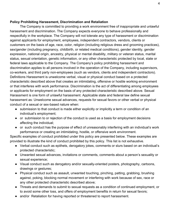# **Policy Prohibiting Harassment, Discrimination and Retaliation**

The Company is committed to providing a work environment free of inappropriate and unlawful harassment and discrimination. The Company expects everyone to behave professionally and respectfully in the workplace. The Company will not tolerate any type of harassment or discrimination against applicants for employment, employees, independent contractors, vendors, clients or customers on the basis of age, race, color, religion (including religious dress and grooming practices), sex/gender (including pregnancy, childbirth, or related medical conditions), gender identity, gender expression, national origin, ancestry, physical or mental disability, military or veteran status, marital status, sexual orientation, genetic information, or any other characteristic protected by local, state or federal laws applicable to the Company. The Company's policy prohibiting harassment and discrimination applies to all persons involved in the operation of the Company, including supervisors, co-workers, and third party non-employees (such as vendors, clients and independent contractors). Definitions Harassment is unwelcome verbal, visual or physical conduct based on a protected characteristic described above that creates an intimidating, offensive or hostile working environment or that interferes with work performance. Discrimination is the act of differentiating among employees or applicants for employment on the basis of any protected characteristic described above. Sexual Harassment is one form of unlawful harassment. Applicable state and federal law define sexual harassment as: Unwelcome sexual advances, requests for sexual favors or other verbal or physical conduct of a sexual or sex-based nature when:

- submission to that conduct is made either explicitly or implicitly a term or condition of an individual's employment;
- or submission to or rejection of the conduct is used as a basis for employment decisions affecting the individual;
- or such conduct has the purpose of effect of unreasonably interfering with an individual's work performance or creating an intimidating, hostile, or offensive work environment.

Specific examples of conduct prohibited under this policy are presented below. These examples are provided to illustrate the kind of conduct prohibited by this policy. This list is not exhaustive.

- Verbal conduct such as epithets, derogatory jokes, comments or slurs based on an individual's protected characteristic;
- Unwanted sexual advances, invitations or comments, comments about a person's sexuality or sexual experience;
- Visual conduct such as derogatory and/or sexually-oriented posters, photography, cartoons, drawings or gestures;
- Physical conduct such as assault, unwanted touching, pinching, patting, grabbing, brushing against, poking, blocking normal movement or interfering with work because of sex, race or any other protected characteristic described above;
- Threats and demands to submit to sexual requests as a condition of continued employment, or to avoid some other loss, and offers of employment benefits in return for sexual favors;
- and/or Retaliation for having reported or threatened to report harassment.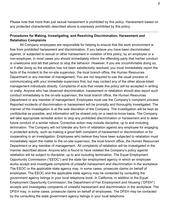Please note that more than just sexual harassment is prohibited by this policy. Harassment based on any protected characteristic described above is expressly prohibited by this policy.

# **Procedures for Making, Investigating, and Resolving Discrimination, Harassment and Retaliation Complaints**

All Company employees are responsible for helping to ensure that the work environment is free from prohibited harassment and discrimination. If you believe you have been discriminated against, or subjected to sexual or other harassment in violation of this policy, by an employee or a non-employee, in most cases you should immediately inform the offending party that his/her conduct is unwelcome and tell that person to stop the behavior. However, if you are uncomfortable doing so, or if after doing so the situation has not been satisfactorily resolved, you must immediately report the facts of the incident to the on-site supervisor, the local branch office, the Human Resources Department or any member of management. You are not required to use the usual process of communicating with your immediate supervisor first, but may contact any of the other above-listed management individuals directly. Complaints of acts that violate this policy will be accepted in writing or orally. Anyone who has observed discrimination, harassment or retaliation should also report such conduct immediately to the on-site supervisor, the local branch office, the Human Resources Department or any member of management. Employees must use the Company's complaint process. Reported incidents of discrimination or harassment will be promptly and thoroughly investigated. The manner of the investigation is at the sole discretion of the Company. The investigation will be kept as confidential as possible, and information will be shared only on a need-to-know basis. The Company will take appropriate remedial action to stop any prohibited discrimination or harassment and to deter future conduct of a similar nature. Corrective action may include discipline, up to and including termination. The Company will not tolerate any form of retaliation against any employee for engaging in protected activity, such as making a good faith complaint of harassment or discrimination or for cooperating in an investigation. Employees who believe they have been subjected to retaliation must immediately report the matter to the on-site supervisor, the local branch office, the Human Resources Department or any member of management.. All complaints of retaliation will be investigated in the manner described above. Anyone who is found to have violated the Company's policy against retaliation will be subject to discipline, up to and including termination. The Equal Employment Opportunity Commission ("EEOC") and the state fair employment agency in which an employee works accept and investigate complaints of unlawful harassment and discrimination in the workplace. The EEOC or the applicable state agency may, in some cases, prosecute claims on behalf of employees. The EEOC and the applicable state agency may be contacted by consulting the government agency listings in your local telephone book. In California, in addition to the Equal Employment Opportunity Commission, the Department of Fair Employment and Housing ("DFEH") accepts and investigates complaints of unlawful harassment and discrimination in the workplace. The DFEH may, in some cases, prosecute claims on behalf of employees. The DFEH may be contacted by the consulting the state government agency listings in your local telephone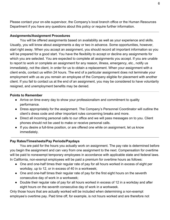Please contact your on-site supervisor, the Company's local branch office or the Human Resources Department if you have any questions about this policy or require further information.

# **Assignments/Assignment Procedures**

You will be offered assignments based on availability as well as your experience and skills. Usually, you will know about assignments a day or two in advance. Some opportunities, however, start right away. When you accept an assignment, you should record all important information so you will be prepared for a good start. You have the flexibility to accept or decline any assignments for which you are selected. You are expected to complete all assignments you accept. If you are unable to report to work or complete an assignment for any reason, illness, emergency, etc., notify us immediately, not the client, in order for us to obtain a replacement. When your assignment with a client ends, contact us within 24 hours. The end of a particular assignment does not terminate your employment with us as you remain an employee of the Company eligible for placement with another client. If you fail to contact us at the end of an assignment, you may be considered to have voluntarily resigned, and unemployment benefits may be denied.

# **Points to Remember**

- Arrive on time every day to show your professionalism and commitment to quality performance.
- Dress appropriately for the assignment. The Company's Personnel Coordinator will outline the client's dress code and other important rules concerning breaks and more.
- Direct all incoming personal calls to our office and we will pass messages on to you. Client phones should not be used to make or receive personal calls.
- If you desire a full-time position, or are offered one while on assignment, let us know immediately.

# **Pay Rates/Timesheets/Pay Periods/Paydays**

You are paid for the hours you actually work on assignment. The pay rate is determined before you begin the assignment and can vary from one assignment to the next. Compensation for overtime will be paid to nonexempt temporary employees in accordance with applicable state and federal laws. In California, non-exempt employees will be paid a premium for overtime hours as follows:

- One and one-half times their regular rate of pay for all hours worked in excess of eight per workday, up to 12, or in excess of 40 in a workweek;
- One and one-half times their regular rate of pay for the first eight hours on the seventh consecutive day of work in a workweek;
- Double their regular rate of pay for all hours worked in excess of 12 in a workday and after eight hours on the seventh consecutive day of work in a workweek.

Only those hours that are actually worked will be included when determining a non-exempt employee's overtime pay. Paid time off, for example, is not hours worked and are therefore not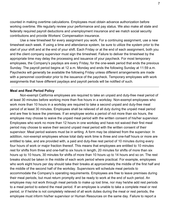counted in making overtime calculations. Employees must obtain advance authorization before working overtime. We regularly review your performance and pay status. We also make all state and federally required payroll deductions and unemployment insurance and we match social security contributions and provide Workers' Compensation insurance.

Use a new timesheet for every assignment you work. For a continuing assignment, use a new timesheet each week. If using a time and attendance system, be sure to utilize the system prior to the start of your shift and at the end of your shift. Each Friday or at the end of each assignment, both you and the client company supervisor must sign the timesheet. Failure to deliver the timesheet by the appropriate time may delay the processing and issuance of your paycheck. For most temporary employees, the Company's paydays are every Friday, for the one-week period that ends the previous Sunday. The payroll period begins at 12 a.m. Monday and ends the following Sunday at 11:59 a.m. Paychecks will generally be available the following Friday unless different arrangements are made with a personnel coordinator prior to the issuance of the paycheck. Temporary employees with work assignments that have different paydays and payroll periods will be notified of such.

#### **Meal and Rest Period Policy**

Non-exempt California employees are required to take an unpaid and duty-free meal period of at least 30 minutes before working more than five hours in a workday. Non-exempt employees who work more than 10 hours in a workday are required to take a second unpaid and duty-free meal period of at least 30 minutes. Employees shall be relieved of all duty during the unpaid meal period and are free to leave the premises. If an employee works a period of not more than six hours, the employee may choose to waive the unpaid meal period with the written consent of his/her supervisor. Employees who work no more than 12 hours in one workday and have not waived their first meal period may choose to waive their second unpaid meal period with the written consent of their supervisor. Meal period waivers must be in writing. A form may be obtained from the supervisor. In addition, non-exempt employees whose total daily work time is three and one-half hours or more are entitled to take, and are provided with, a paid and duty-free rest period of 10 minutes during every four hours of work or major fraction thereof. This means that employees are entitled to 10 minutes rest for shifts from three and one-half to six hours in length, 20 minutes for shifts of more than six hours up to 10 hours, 30 minutes for shifts of more than 10 hours up to 14 hours and so on. The rest breaks should be taken in the middle of each work period where practical. For example, employees who work eight hours per day should take their breaks at approximately the middle of the first half and the middle of the second half of the workday. Supervisors will schedule meal periods to accommodate the Company's operating requirements. Employees are free to leave premises during their meal periods, but must return promptly and be ready to work at the end of such period. An employee may not work through meal periods to make up lost time, nor may he/she add rest periods to a meal period to extend the meal period. If an employee is unable to take a complete meal or rest period, or if he/she is not completely relieved of all work duties during the meal or rest periods, the employee must inform his/her supervisor or Human Resources on the same day. Failure to report a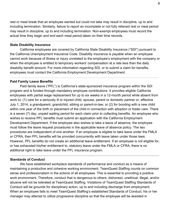rest or meal break that an employee wanted but could not take may result in discipline, up to and including termination. Similarly, failure to report an incomplete or not fully relieved rest or meal period may result in discipline, up to and including termination. Non-exempt employees must record the actual time they begin and end each meal period taken on their time records.

## **State Disability Insurance**

California employees are covered by California State Disability Insurance ("SDI") pursuant to the California Unemployment Insurance Code. Disability insurance is payable when an employee cannot work because of illness or injury unrelated to the employee's employment with the company or when the employee is entitled to temporary workers' compensation at a rate less than the daily disability benefit amount. For more information regarding SDI, or to submit a claim for benefits, employees must contact the California Employment Development Department.

## **Paid Family Leave Benefits**

Paid family leave ("PFL") is California's state-sponsored insurance program within the SDI program and is funded through mandatory employee contributions. It provides eligible California employees with partial wage replacement for up to six weeks in a 12-month period while absent from work to: (1) care for a seriously ill or injured child, spouse, parent or domestic partner or, effective July 1, 2014, a grandparent, grandchild, sibling or parent-in-law; or (2) for bonding with a new child within one year of the birth or placement of the child in connection with adoption or foster care. There is a seven (7) day, unpaid waiting period for each claim prior to collecting benefits. An employee who wishes to receive PFL benefits must submit an application with the California Employment Development Department. If the employee also wishes to take a leave of absence, the employee must follow the leave request procedures in the applicable leave of absence policy. The two procedures are independent of one another. If an employee is eligible to take leave under the FMLA or CFRA, then PFL benefits will be provided concurrently with leave taken under those laws. However, PFL benefits do not create an additional leave entitlement. If an employee is not eligible for, or has exhausted his/her entitlement to, statutory leave under the FMLA or CFRA, there is no additional right to take leave under the PFL insurance program.

## **Standards of Conduct**

We have established workplace standards of performance and conduct as a means of maintaining a productive and cohesive working environment. TeamQuest Staffing counts on common sense and professionalism in the actions of all employees. This is essential to providing a positive work environment. Therefore, conduct that is dangerous to others, dishonest, unethical, illegal, and/or abusive will not be tolerated at TeamQuest Staffing. Violations of TeamQuest Staffing Standards of Conduct will be grounds for disciplinary action, up to and including discharge from employment. When an employee fails to meet TeamQuest Staffing's established Standards of Conduct, his or her manager may attempt to utilize progressive discipline so that the employee will be assisted in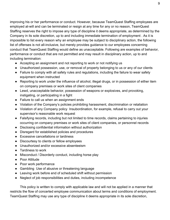improving his or her performance or conduct. However, because TeamQuest Staffing employees are employed at-will and can be terminated or resign at any time for any or no reason, TeamQuest Staffing reserves the right to impose any type of discipline it deems appropriate, as determined by the Company in its sole discretion, up to and including immediate termination of employment . As it is impossible to list every reason why an employee may be subject to disciplinary action, the following list of offenses is not all-inclusive, but merely provides guidance to our employees concerning conduct that TeamQuest Staffing would define as unacceptable. Following are examples of behavior, performance or conduct that are not permitted and may result in disciplinary action, up to and including termination:

- Accepting an assignment and not reporting to work or not notifying us
- Unauthorized possession, use, or removal of property belonging to us or any of our clients
- Failure to comply with all safety rules and regulations, including the failure to wear safety equipment when instructed
- Reporting to work under the influence of alcohol, illegal drugs, or in possession of either item on company premises or work sites of client companies
- Lewd, unacceptable behavior, possession of weapons or explosives, and provoking, instigating, or participating in a fight
- Failure to call us when an assignment ends
- Violation of the Company's policies prohibiting harassment, discrimination or retaliation
- Violation of any Company policy Insubordination, for example, refusal to carry out your supervisor's reasonable work request
- Falsifying records, including but not limited to time records, claims pertaining to injuries occurring on company premises or work sites of client companies, or personnel records
- Disclosing confidential information without authorization
- Disregard for established policies and procedures
- Excessive cancellations or tardiness
- Discourtesy to clients or fellow employees
- Unauthorized and/or excessive absenteeism
- Tardiness to work
- Misconduct / Disorderly conduct, including horse play
- Poor Attitude
- Poor work performance
- Gambling Use of abusive or threatening language
- Leaving work before end of scheduled shift without permission
- Neglect of job responsibilities and duties, including incompetence

This policy is written to comply with applicable law and will not be applied in a manner that restricts the flow of concerted employee communication about terms and conditions of employment. TeamQuest Staffing may use any type of discipline it deems appropriate in its sole discretion,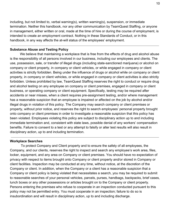including, but not limited to, verbal warning(s), written warning(s), suspension, or immediate termination. Neither this handbook, nor any other communication by TeamQuest Staffing, or anyone in management, either written or oral, made at the time of hire or during the course of employment, is intended to create an employment contract. Nothing in these Standards of Conduct, or in this handbook, in any way affects the at-will status of the employees' employment.

# **Substance Abuse and Testing Policy**

We believe that maintaining a workplace that is free from the effects of drug and alcohol abuse is the responsibility of all persons involved in our business, including our employees and clients. The use, possession, sale, or transfer of illegal drugs (including state-sanctioned marijuana) or alcohol on company or client property, in company or client vehicles, or while engaged in company or client activities is strictly forbidden. Being under the influence of drugs or alcohol while on company or client property, in company or client vehicles, or while engaged in company or client activities is also strictly forbidden. Unless prohibited by law, TeamQuest Staffing reserves the right to conduct or require drug and alcohol testing on any employee on company or client premises, engaged in company or client business, or operating company or client equipment. Specifically, testing may be required after accidents or near misses, when a client requires pre-assignment testing, and/or where management has a reasonable suspicion that an employee is impaired or affected on the job by alcohol and/or illegal drugs in violation of this policy. The Company may search company or client premises or property, without prior notice, and reserves the right to search employees' personal property brought onto company or client premises in order to investigate a reasonable suspicion that this policy has been violated. Employees violating this policy are subject to disciplinary action up to and including immediate termination and, consistent with state laws, possible denial of any workers' compensation benefits. Failure to consent to a test or any attempt to falsify or alter test results will also result in disciplinary action, up to and including termination.

# **Workplace Searches**

 To protect Company and Client property and to ensure the safety of all employees, the Company, and our clients, reserves the right to inspect and search any employee's work area, files, locker, equipment, and any area on Company or client premises. You should have no expectation of privacy with respect to items brought onto Company or client property and/or stored in Company or client facilities. Inspection may be conducted at any time, without notice, at the discretion of the Company or client. In addition, when the Company or a client has a reasonable suspicion that a Company or client policy is being violated that necessitates a search, you may be required to submit to reasonable searches of your personal vehicles, parcels, purses, handbags, backpacks, brief cases, lunch boxes or any other possessions or articles brought on to the Company or client property. Persons entering the premises who refuse to cooperate in an inspection conducted pursuant to this policy may not be permitted entry. You must cooperate in an inspection; failure to do so is insubordination and will result in disciplinary action, up to and including discharge.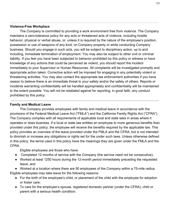# **Violence-Free Workplace**

The Company is committed to providing a work environment free from violence. The Company maintains a zero-tolerance policy for any acts or threatened acts of violence, including hostile behavior, physical or verbal abuse, or, unless it is required by the nature of the employee's position, possession or use of weapons of any kind, on Company property or while conducting Company business. Should you engage in such acts, you will be subject to disciplinary action, up to and including, immediate termination of employment. You may also be subject to other civil or criminal liability. If you feel you have been subjected to behavior prohibited by this policy or witness or have knowledge of any actions that could be perceived as violent, you should report the incident immediately to your Supervisor or Human Resources. All complaints will be investigated promptly and appropriate action taken. Corrective action will be imposed for engaging in any potentially violent or threatening activities. You may also contact the appropriate law enforcement authorities if you have reason to believe there is an immediate threat to your safety and/or the safety of others. Reports or incidents warranting confidentiality will be handled appropriately and confidentiality will be maintained to the extent possible. You will not be retaliated against for reporting, in good faith, any conduct prohibited by this policy.

# **Family and Medical Leave**

The Company provides employees with family and medical leave in accordance with the provisions of the Federal Medical Leave Act ("FMLA") and the California Family Rights Act ("CFRA"). The Company complies with all requirements of applicable local and state laws in areas where it operates or does business. If a local or state law entitles an employee to more generous benefits than provided under this policy, the employee will receive the benefits required by the applicable law. This policy provides an overview of the leave provided under the FMLA and the CFRA, but is not intended to diminish or increase any obligations or rights set for the under such laws. Unless otherwise defined in this policy, the terms used in this policy have the meanings they are given under the FMLA and the CFRA.

Eligible employees are those who have:

- Completed 12 months of service with the Company (the service need not be consecutive);
- Worked at least 1250 hours during the 12-month period immediately preceding the requested leave; and

● Worked at a location where there are 50 employees of the Company within a 75-mile radius. Eligible employees may take leave for the following reasons:

- For the birth of the employee's child, or placement of the child with the employee for adoption or foster care;
- To care for the employee's spouse, registered domestic partner (under the CFRA), child or parent with a serious health condition;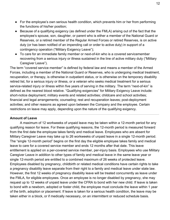- For the employee's own serious health condition, which prevents him or her from performing the functions of his/her position;
- Because of a qualifying exigency (as defined under the FMLA) arising out of the fact that the employee's spouse, son, daughter, or parent who is either a member of the National Guard or Reserves, or a retired member of the Regular Armed Forces or retired Reserves, is on active duty (or has been notified of an impending call or order to active duty) in support of a contingency operation ("Military Exigency Leave");
- To care for an immediate family member or next-of-kin who is a covered servicemember recovering from a serious injury or illness sustained in the line of active military duty ("Military Caregiver Leave").

The term "covered service member" is defined by federal law and means a member of the Armed Forces, including a member of the National Guard or Reserves, who is undergoing medical treatment, recuperation, or therapy, is otherwise in outpatient status, or is otherwise on the temporary disability retired list, for a serious injury or illness, or a veteran who seeks medical treatment for a serious service-related injury or illness within five years of serving in the military. The term "next-of-kin" is defined as the nearest blood relative. "Qualifying exigencies" for Military Exigency Leave include: short-notice deployment; military events and related activities; childcare and school activities; financial and legal arrangements; counseling; rest and recuperation leaves; post-deployment activities; and other reasons as agreed upon between the Company and the employee. Certain restrictions on leave may apply, depending upon the nature of the qualifying exigency.

# **Amount of Leave**

A maximum of 12 workweeks of unpaid leave may be taken within a 12-month period for any qualifying reason for leave. For these qualifying reasons, the 12-month period is measured forward from the first date the employee takes family and medical leave. Employees who are absent for Military Caregiver Leave may take up to 26 workweeks of unpaid leave in a single 12-month period. The "single 12-month period" begins on the first day the eligible employee takes family and medical leave to care for a covered service member and ends 12 months after that date. This leave entitlement is applied on a per-covered service member, per-injury basis. Employees who use Military Caregiver Leave in addition to other types of family and medical leave in the same leave year or single 12-month period are entitled to a combined maximum of 26 weeks of protected leave. Employees disabled by pregnancy, childbirth or related medical conditions have certain rights to take a pregnancy disability leave separate from their right to a family and medical leave under state law. However, the first 12 weeks of pregnancy disability leave will be treated concurrently as leave under the FMLA, for eligible employees. Once an employee is no longer disabled by pregnancy, she may request up to 12 weeks of unpaid leave under the CFRA to bond with her new child. If leave is taken to bond with a newborn, adopted or foster child, the employee must conclude the leave within 1 year of the birth, adoption or placement. If leave is taken for a serious health condition, the leave may be taken either in a block, or if medically necessary, on an intermittent or reduced schedule basis.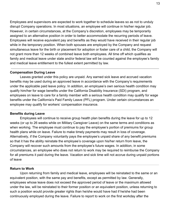Employees and supervisors are expected to work together to schedule leaves so as not to unduly disrupt Company operations. In most situations, an employee will continue in his/her regular job. However, in certain circumstances, at the Company's discretion, employees may be temporarily assigned to an alternative position in order to better accommodate the recurring periods of leave. Employees will receive equivalent pay and benefits as they would have received in their regular job while in the temporary position. When both spouses are employed by the Company and request simultaneous leave for the birth or placement for adoption or foster care of a child, the Company will not grant more than 12 weeks of combined leave both employees. All time off which qualifies as family and medical leave under state and/or federal law will be counted against the employee's family and medical leave entitlement to the fullest extent permitted by law.

# **Compensation During Leave**

Leaves granted under this policy are unpaid. Any earned sick leave and accrued vacation benefits may be used during an approved leave in accordance with the Company's requirements under the applicable paid leave policy. In addition, an employee's own serious health condition may qualify him/her for wage benefits under the California Disability Insurance (SDI) program, and employees on leave to care for a family member with a serious health condition may qualify for wage benefits under the California's Paid Family Leave (PFL) program. Under certain circumstances an employee may qualify for workers' compensation insurance.

#### **Benefits during Leave**

Employees will continue to receive group health plan benefits during the leave for up to 12 weeks (or up to 26 weeks while on Military Caregiver Leave) on the same terms and conditions as when working. The employee must continue to pay the employee's portion of premiums for group health plans while on leave. Failure to make timely payments may result in loss of coverage. Alternatively, if the Company voluntarily pays the employee's unpaid share of any benefit premiums so that it has the ability reinstate the employee's coverage upon his/her return from leave, the Company will recover such amounts from the employee's future wages. In addition, in some circumstances, an employee who does not return to work may be required to reimburse the Company for all premiums it paid during the leave. Vacation and sick time will not accrue during unpaid portions of leave

#### **Return to Work**

Upon returning from family and medical leave, employees will be reinstated to the same or an equivalent position, with the same pay and benefits, except as permitted by law. Generally, employees whose leave does not exceed the approved period of leave or the maximum allowed under the law, will be reinstated to their former position or an equivalent position, unless returning to such a position would provide greater rights than he/she would have had if he/she had been continuously employed during the leave. Failure to report to work on the first workday after the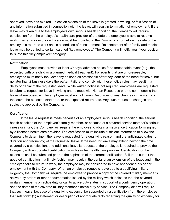approved leave has expired, unless an extension of the leave is granted in writing, or falsification of any information submitted in connection with the leave, will result in termination of employment. If the leave was taken due to the employee's own serious health condition, the Company will require certification from the employee's health care provider of the date the employee is able to resume work. The return-to-work certification must be provided to the Company on or before the date of the employee's return to work and is a condition of reinstatement. Reinstatement after family and medical leave may be denied to certain salaried "key employees." The Company will notify you if your position falls into this "key employee" category.

## **Notification**

 Employees must provide at least 30 days' advance notice for a foreseeable event (e.g., the expected birth of a child or a planned medical treatment). For events that are unforeseeable, employees must notify the Company as soon as practicable after they learn of the need for leave, but no later than 2 business days thereafter. Failure to comply with these notice rules may result in a delay or denial of the requested leave. While written notice is not required, employees are requested to submit a request for leave in writing and to meet with Human Resources prior to commencing the leave where possible. The employee must notify Human Resources of any changes in the status of the leave, the expected start date, or the expected return date. Any such requested changes are subject to approval by the Company.

#### **Certification**

 If the leave request is made because of an employee's serious health condition, the serious health condition of the employee's family member, or because of a covered service member's serious illness or injury, the Company will require the employee to obtain a medical certification form signed by a licensed health care provider. The certification must include sufficient information to allow the Company to determine if the leave is requested for a qualifying reason, and the anticipated dates (or duration and frequency) of the requested leave. If the need for leave may extend beyond the time covered by a certification, and additional leave is requested, the employee is required to provide the Company with an updated certification from his or her health care provider. Certification for the extension shall be submitted prior to the expiration of the current certification. Failure to submit the updated certification in a timely fashion may result in the denial of an extension of the leave and, if the employee fails to return to work, the employee may be considered to have abandoned his or her employment with the Company. When an employee requests leave due to a qualifying military exigency, the Company will require the employee to provide a copy of the covered military member's active duty orders or other documentation issued by the military which indicates that the covered military member is on active duty or call to active duty status in support of a contingency operation, and the dates of the covered military member's active duty service. The Company also will require that such leave, because of a qualifying exigency, be supported by a certification from the employee that sets forth: (1) a statement or description of appropriate facts regarding the qualifying exigency for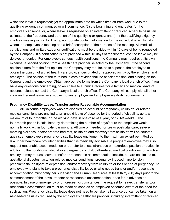which the leave is requested; (2) the approximate date on which time off from work due to the qualifying exigency commenced or will commence; (3) the beginning and end dates for the employee's absence, or, where leave is requested on an intermittent or reduced schedule basis, an estimate of the frequency and duration of the qualifying exigency; and (4) if the qualifying exigency involves meeting with a third party, appropriate contact information for the individual or entity with whom the employee is meeting and a brief description of the purpose of the meeting. All medical certifications and military exigency certifications must be provided within 15 days of being requested by the Company. If a certification is not provided within 15 days of the first request, the leave may be delayed or denied. For employee's serious health conditions, the Company may require, at its own expense, a second opinion from a health care provider selected by the Company. If the second opinion differs from the first opinion, the Company may require, at its expense, the employee to obtain the opinion of a third health care provider designated or approved jointly by the employer and employee. The opinion of the third health care provider shall be considered final and binding on the Company and the employee. Obtain appropriate forms from the Company's local branch office. If you have any questions concerning, or would like to submit a request for a family and medical leave of absence, please contact the Company's local branch office. The Company will comply with all other state and federal leave laws, subject to any employer and employee eligibility requirements.

## **Pregnancy Disability Leave, Transfer and/or Reasonable Accommodation**

All California employees who are disabled on account of pregnancy, childbirth, or related medical conditions are entitled to an unpaid leave of absence for the period of disability, up to a maximum of four months (or the working days in one-third of a year, or 17 1/3 weeks). The four-month period is calculated by determining the number of days/hours the employee would normally work within four calendar months. All time off needed for pre or postnatal care, severe morning sickness, doctor ordered bed rest, childbirth and recovery from childbirth will be counted against an employee's pregnancy disability leave entitlement to the maximum extent permitted by law. If her healthcare provider certifies that it is medically advisable, a pregnant employee may also request reasonable accommodation or transfer to a less strenuous or hazardous position or duties. In addition to the conditions listed above, pregnancy or childbirth-related medical conditions for which an employee may request leave, transfer or reasonable accommodation include, but are not limited to, gestational diabetes, lactation-related medical conditions, pregnancy-induced hypertension, preeclampsia, postpartum depression, and/or recovery from childbirth or loss or end of pregnancy. An employee who plans to take a pregnancy disability leave or who needs transfer and/or reasonable accommodation must notify her supervisor and Human Resources at least thirty (30) days prior to the commencement of the leave, transfer or reasonable accommodation, or as far in advance as possible. In case of emergency or unforeseen circumstances, the request for leave, transfer and/or reasonable accommodation must be made as soon as an employee becomes aware of the need for such action. Pregnancy disability leave does not need to be taken all at once but can be taken on an as-needed basis as required by the employee's healthcare provider, including intermittent or reduced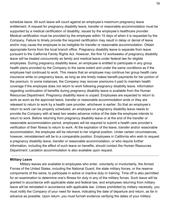schedule leave. All such leave will count against an employee's maximum pregnancy leave entitlement. A request for pregnancy disability leave, transfer or reasonable accommodation must be supported by a medical certification of disability, issued by the employee's healthcare provider. Medical certification must be provided by the employee within 15 days of when it is requested by the Company. Failure to timely provide the required certification may result in delay or denial of leave and/or may cause the employee to be ineligible for transfer or reasonable accommodation. Obtain appropriate forms from the local branch office. Pregnancy disability leave is separate from leave pursuant to the California Family Rights Act. However, the first 12 workweeks of pregnancy disability leave will be treated concurrently as family and medical leave under federal law for eligible employees. During pregnancy disability leave, an employee is entitled to participate in any group health plans provided by the Company to the same extent and under the same conditions as if the employee had continued to work. This means that an employee may continue her group health care insurance while on pregnancy leave, as long as she timely makes benefit payments for her portion of the premium. In some instances, the Company may recover premiums it paid to maintain health coverage if the employee does not return to work following pregnancy disability leave. Information regarding continuation of benefits during pregnancy disability leave is available from the Human Resources Department. Pregnancy disability leave is unpaid. Employees are expected to return to work as soon as the approved leave, transfer or reasonable accommodation ends or they are released to return to work by a health care provider, whichever is earlier. So that an employee's return to work can be properly scheduled, an employee on pregnancy disability leave needs to provide the Company with at least two weeks advance notice of the date the employee intends to return to work. Before returning from pregnancy disability leave or at the end of the transfer or reasonable accommodation period, employees will be required to submit a health care provider's verification of their fitness to return to work. At the expiration of the leave, transfer and/or reasonable accommodation, the employee will be returned to her original position. Under certain circumstances, however, reinstatement will be to a comparable position. Employees in California who wish to request a pregnancy disability leave, transfer or reasonable accommodation, or who require further information, including the effect of such leave on benefits, should contact the Human Resources Department. Lactation accommodation is also available upon request.

## **Military Leave**

Military leaves are available to employees who enter, voluntarily or involuntarily, the Armed Forces of the United States, including the National Guard, the state military forces, or the reserve components of the same, to participate in active or inactive duty or training. Time off is also permitted for an examination to determine one's fitness for duty in any of the military forces. Such leave will be granted in accordance with applicable state and federal law, and employees returning from military leave will be reinstated in accordance with applicable law. Unless prohibited by military necessity, you must notify the Company of your need for leave, indicating the date of departure and return, as far in advance as possible. Upon return, you must furnish evidence verifying the dates of your military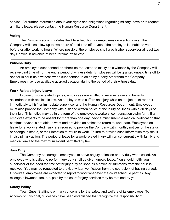service. For further information about your rights and obligations regarding military leave or to request a military leave, please contact the Human Resource Department.

# **Voting**

The Company accommodates flexible scheduling for employees on election days. The Company will also allow up to two hours of paid time off to vote if the employee is unable to vote before or after working hours. Where possible, the employee shall give his/her supervisor at least two days' notice in advance of need for time off to vote.

## **Witness Duty**

An employee subpoenaed or otherwise requested to testify as a witness by the Company will receive paid time off for the entire period of witness duty. Employees will be granted unpaid time off to appear in court as a witness when subpoenaed to do so by a party other than the Company. Employees may use available accrued vacation during the period of their witness duty.

## **Work-Related Injury Leave**

In case of work-related injuries, employees are entitled to receive leave and benefits in accordance with applicable law. An employee who suffers an injury while on the job must report it immediately to his/her immediate supervisor and the Human Resources Department. Employees must also provide the Company with a signed written notice of the injury or illness within 30 days of the injury. This notice may be in the form of the employee's workers' compensation claim form. If an employee expects to be absent for more than one day, he/she must submit a medical certification that confirms he/she is not able to work and provides an estimated return to work date. Employees on leave for a work-related injury are required to provide the Company with monthly notices of the status or change in status, or their intention to return to work. Failure to provide such information may result in disciplinary action. The period of leave for a work-related injury will run concurrently with family and medical leave to the maximum extent permitted by law.

#### **Jury Duty**

The Company encourages employees to serve on jury selection or jury duty when called. An employee who is called to perform jury duty shall be given unpaid leave. You should notify your supervisor of the need for time off for jury duty as soon as a notice or summons from the court is received. You may be requested to provide written verification from the court clerk of having served. Of course, employees are expected to report to work whenever the court schedule permits. Any mileage allowance, fee, etc. paid by the court for jury services may be retained by you.

#### **Safety Policy**

TeamQuest Staffing's primary concern is for the safety and welfare of its employees. To accomplish this goal, guidelines have been established that recognize the responsibility of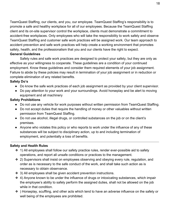TeamQuest Staffing, our clients, and you, our employee. TeamQuest Staffing's responsibility is to promote a safe and healthy workplace for all of our employees. Because the TeamQuest Staffing client and its on-site supervisor control the workplace, clients must demonstrate a commitment to accident-free workplaces. Only employees who will take the responsibility to work safely and observe TeamQuest Staffing and customer safe work practices will be assigned work. Our team approach to accident prevention and safe work practices will help create a working environment that promotes safety, health, and the professionalism that you and our clients have the right to expect.

# **General Guidelines**

Safety rules and safe work practices are designed to protect your safety, but they are only as effective as your willingness to cooperate. These guidelines are a condition of your continued employment. Know these guidelines and consider them required elements of your job assignment. Failure to abide by these policies may result in termination of your job assignment or in reduction or complete elimination of any related benefits.

# **Safety Do's**

- Do know the safe work practices of each job assignment as provided by your client supervisor.
- Do pay attention to your work and your surroundings. Avoid horseplay and be alert to moving equipment and all machinery

# **Safety Prohibitions**

- Do not use any vehicle for work purposes without written permission from TeamQuest Staffing.
- Do not accept duties that require the handling of money or other valuables without written permission from TeamQuest Staffing.
- Do not use alcohol, illegal drugs, or controlled substances on the job or on the client's premises.
- Anyone who violates this policy or who reports to work under the influence of any of these substances will be subject to disciplinary action, up to and including termination of employment, and potentially a loss of benefits.

# **Safety and Health Rules**

- ❖ 1) All employees shall follow our safety practice rules, render ever-possible aid to safety operations, and report all unsafe conditions or practices to the management.
- ❖ 2) Supervisors shall insist on employees observing and obeying every rule, regulation, and order as is necessary to the safe conduct of the work, and shall take such action as is necessary to obtain observance.
- ❖ 3) All employees shall be given accident prevention instructions.
- ❖ 4) Anyone known to be under the influence of drugs or intoxicating substances, which impair the employee's ability to safely perform the assigned duties, shall not be allowed on the job while in that condition.
- ❖ ) Horseplay, scuffling, and other acts which tend to have an adverse influence on the safety or well being of the employees are prohibited.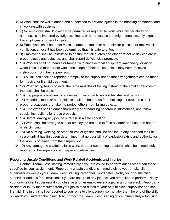- ❖ 6) Work shall be well planned and supervised to prevent injuries in the handling of material and in working with equipment.
- ❖ 7) No employee shall knowingly be permitted or required to work while his/her ability or alertness is so impaired by fatigues, illness, or other causes that might unnecessarily expose the employee or others to injury.
- ❖ 8) Employees shall not enter voids, chambers, tanks, or other similar places that receives little ventilation, unless it has been determined that it is safe to enter.
- ❖ 9) Employees shall be instructed to ensure that all guards and other protective devices are in proper places and adjusted, and shall report deficiencies promptly.
- ❖ 10) Workers shall not handle or tamper with any electrical equipment, machinery, or air or water lines in a manner not within the scope of their duties, unless they have received instructions from their supervisor.
- ❖ 11) All injuries shall be reported promptly to the supervisor so that arrangements can be made for medical or first aid treatment.
- ❖ 12) When lifting heavy objects, the large muscles of the leg instead of the smaller muscles of the back shall be used.
- ❖ 13) Inappropriate footwear or shoes with thin or badly worn soles shall not be worn.
- ❖ 14) Materials, tools, or other objects shall not be thrown from buildings or structures until proper precautions are taken to protect others from falling objects.
- ❖ 15) Employees shall cleanse thoroughly after handling hazardous substances, and follow special instructions for those products.
- ❖ 16) Before leaving any job, be sure it is in a safe condition.
- ❖ 17) Work shall be arranged so that employees are able to face a ladder and use both hands while climbing.
- ❖ 18) No burning, welding, or other source of ignition shall be applied to any enclosed tank or vessel until it has first been determined that no possibility of explosion exists and authority for the work is obtained from their supervisor.
- ❖ 19) Any damage to scaffolds, false work, or other supporting structures shall be immediately reported to the supervisor and repaired before use.

# **Reporting Unsafe Conditions and Work Related Accidents and Injuries**

Contact TeamQuest Staffing immediately if you are asked to perform duties other than those specified by your assignment. Report any unsafe conditions immediately to your on-site client supervisor as well as your TeamQuest Staffing Personnel Coordinator. Notify your on-site client supervisor and ask for instructions if you are unsure of any job task you are asked to perform. Notify your on-site client supervisor if you observe another employee engaged in an unsafe act. Report any accident or injury that resulted from your job-related duties to your on-site client supervisor and seek first aid. The injury shall be reported to your on-site client supervisor no later than the end of the shift on which you suffered the injury. Also, contact the TeamQuest Staffing office immediately – by using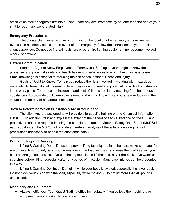office voice mail or pagers if available – and under any circumstances by no later than the end of your shift to report any work related injury.

## **Emergency Procedures**

The on-site client supervisor will inform you of the location of emergency exits as well as evacuation assembly points. In the event of an emergency, follow the instructions of your on-site client supervisor. Do not use fire extinguishers or other fire fighting equipment nor become involved in rescue operations

## **Hazard Communication**

Standard Right to Know Employees of TeamQuest Staffing have the right to know the properties and potential safety and health hazards of substances to which they may be exposed. Such knowledge is essential to reducing the risk of occupational illness and injury.

Goals of Right to Know: To help you reduce the risks involved in working with hazardous materials To transmit vital information to employees about real and potential hazards of substances in the work place To reduce the incidence and cost of illness and injury resulting from hazardous substances To promote public employer's need and right to know To encourage a reduction in the volume and toxicity of hazardous substances

# **How to Determine Which Substances Are in Your Place**

The client you are assigned to will provide site-specific training on the Chemical Information List (CIL). In addition, train and explain the extent of the hazard of each substance on the CIL, and protective measures required in using the chemical, locate the Material Safety Data Sheet (MSDS) for each substance. The MSDS will provide an in-depth analysis of the substance along with all precautions necessary to handle the substance safely.

#### **Proper Lifting and Carrying**

Lifting & Carrying Do's - Do use approved lifting techniques: face the load, make sure your feet are on level firm ground, bend your knees, grasp the load securely, and raise the load keeping your back as straight as possible. - Do use the leg muscles to lift the load, never the back. - Do warm up stretches before lifting, especially after any period of inactivity. Many back injuries can be prevented this way.

Lifting & Carrying Do Not's - Do not lift while your body is twisted, especially the lower back. - Do not block your vision with the load, especially while moving. - Do not lift more than 40 pounds unassisted.

#### **Machinery and Equipment -**

● Always notify your TeamQuest Staffing office immediately if you believe the machinery or equipment you are asked to operate is unsafe.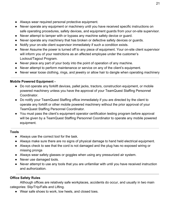- Always wear required personal protective equipment.
- Never operate any equipment or machinery until you have received specific instructions on safe operating procedures, safety devices, and equipment guards from your on-site supervisor.
- Never attempt to tamper with or bypass any machine safety device or guard.
- Never operate any machinery that has broken or defective safety devices or guards.
- Notify your on-site client supervisor immediately if such a condition exists.
- Never Assume the power is turned off to any piece of equipment. Your on-site client supervisor will inform you of your restrictions as an affected employee under the customer's Lockout/Tagout Program.
- Never place any part of your body into the point of operation of any machine.
- Never attempt to perform maintenance or service on any of the client's equipment.
- Never wear loose clothing, rings, and jewelry or allow hair to dangle when operating machinery

# **Mobile Powered Equipment -**

- Do not operate any forklift devices, pallet jacks, tractors, construction equipment, or mobile powered machinery unless you have the approval of your TeamQuest Staffing Personnel Coordinator.
- Do notify your TeamQuest Staffing office immediately if you are directed by the client to operate any forklift or other mobile powered machinery without the prior approval of your TeamQuest Staffing Personnel Coordinator.
- You must pass the client's equipment operator certification testing program before approval will be given by a TeamQuest Staffing Personnel Coordinator to operate any mobile powered equipment.

# **Tools**

- Always use the correct tool for the task.
- Always make sure there are no signs of physical damage to hand held electrical equipment.
- Always check to see that the cord is not damaged and the plug has no exposed wiring or missing prongs
- Always wear safety glasses or goggles when using any pressurized air system.
- Never use damaged tools.
- Never attempt to use any tools that you are unfamiliar with until you have received instruction and authorization.

# **Office Safety Rules**

Although offices are relatively safe workplaces, accidents do occur, and usually in two main categories: Slip/Trip/Falls and Lifting.

● Wear safe shoes to work, low heels, and closed toes.